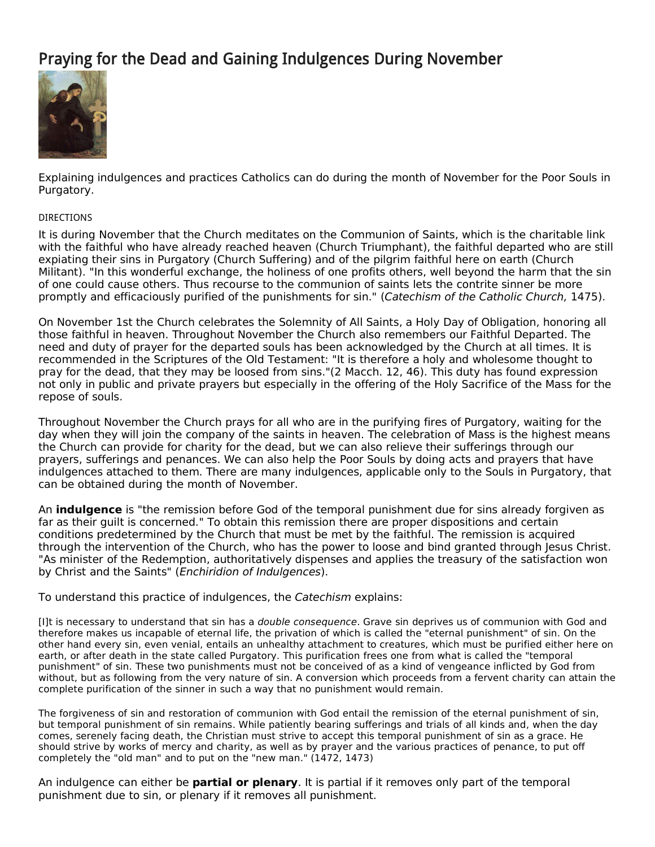## Praying for the Dead and Gaining Indulgences During November



Explaining indulgences and practices Catholics can do during the month of November for the Poor Souls in Purgatory.

## DIRECTIONS

It is during November that the Church meditates on the Communion of Saints, which is the charitable link with the faithful who have already reached heaven (Church Triumphant), the faithful departed who are still expiating their sins in Purgatory (Church Suffering) and of the pilgrim faithful here on earth (Church Militant). "In this wonderful exchange, the holiness of one profits others, well beyond the harm that the sin of one could cause others. Thus recourse to the communion of saints lets the contrite sinner be more promptly and efficaciously purified of the punishments for sin." (*Catechism of the Catholic Church,* 1475).

On November 1st the Church celebrates the Solemnity of All Saints, a Holy Day of Obligation, honoring all those faithful in heaven. Throughout November the Church also remembers our Faithful Departed. The need and duty of prayer for the departed souls has been acknowledged by the Church at all times. It is recommended in the Scriptures of the Old Testament: "It is therefore a holy and wholesome thought to pray for the dead, that they may be loosed from sins."(2 Macch. 12, 46). This duty has found expression not only in public and private prayers but especially in the offering of the Holy Sacrifice of the Mass for the repose of souls.

Throughout November the Church prays for all who are in the purifying fires of Purgatory, waiting for the day when they will join the company of the saints in heaven. The celebration of Mass is the highest means the Church can provide for charity for the dead, but we can also relieve their sufferings through our prayers, sufferings and penances. We can also help the Poor Souls by doing acts and prayers that have indulgences attached to them. There are many indulgences, applicable only to the Souls in Purgatory, that can be obtained during the month of November.

An **indulgence** is "the remission before God of the temporal punishment due for sins already forgiven as far as their guilt is concerned." To obtain this remission there are proper dispositions and certain conditions predetermined by the Church that must be met by the faithful. The remission is acquired through the intervention of the Church, who has the power to loose and bind granted through Jesus Christ. "As minister of the Redemption, authoritatively dispenses and applies the treasury of the satisfaction won by Christ and the Saints" (*Enchiridion of Indulgences*).

To understand this practice of indulgences, the *Catechism* explains:

[I]t is necessary to understand that sin has a *double consequence*. Grave sin deprives us of communion with God and therefore makes us incapable of eternal life, the privation of which is called the "eternal punishment" of sin. On the other hand every sin, even venial, entails an unhealthy attachment to creatures, which must be purified either here on earth, or after death in the state called Purgatory. This purification frees one from what is called the "temporal punishment" of sin. These two punishments must not be conceived of as a kind of vengeance inflicted by God from without, but as following from the very nature of sin. A conversion which proceeds from a fervent charity can attain the complete purification of the sinner in such a way that no punishment would remain.

The forgiveness of sin and restoration of communion with God entail the remission of the eternal punishment of sin, but temporal punishment of sin remains. While patiently bearing sufferings and trials of all kinds and, when the day comes, serenely facing death, the Christian must strive to accept this temporal punishment of sin as a grace. He should strive by works of mercy and charity, as well as by prayer and the various practices of penance, to put off completely the "old man" and to put on the "new man." (1472, 1473)

An indulgence can either be **partial or plenary**. It is partial if it removes only part of the temporal punishment due to sin, or plenary if it removes all punishment.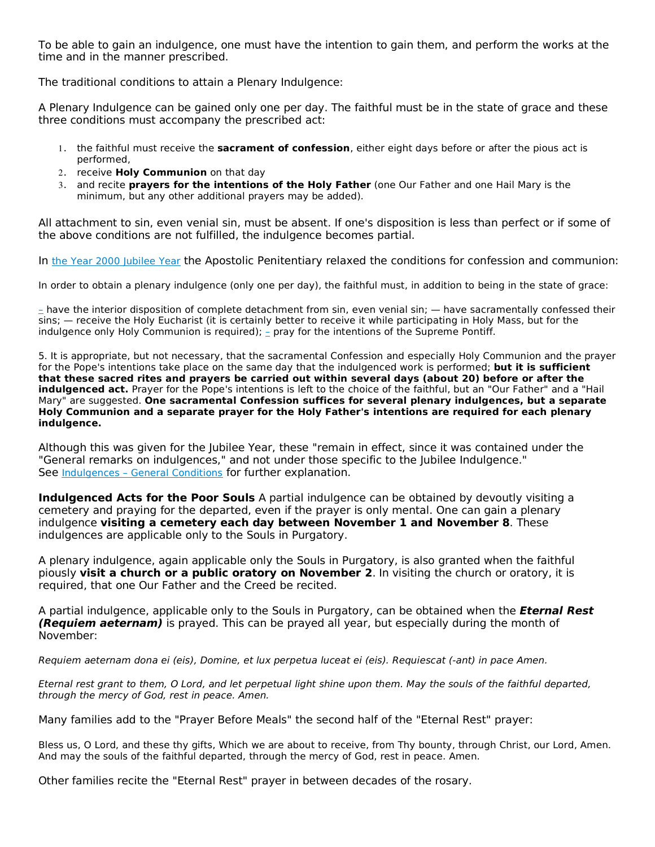To be able to gain an indulgence, one must have the intention to gain them, and perform the works at the time and in the manner prescribed.

The traditional conditions to attain a Plenary Indulgence:

A Plenary Indulgence can be gained only one per day. The faithful must be in the state of grace and these three conditions must accompany the prescribed act:

- 1. the faithful must receive the **sacrament of confession**, either eight days before or after the pious act is performed,
- 2. receive **Holy Communion** on that day
- 3. and recite **prayers forthe intentions of the Holy Father** (one Our Father and one Hail Mary is the minimum, but any other additional prayers may be added).

All attachment to sin, even venial sin, must be absent. If one's disposition is less than perfect or if some of the above conditions are not fulfilled, the indulgence becomes partial.

In the Year 2000 Jubilee Year the Apostolic Penitentiary relaxed the conditions for confession and communion:

In order to obtain a plenary indulgence (only one per day), the faithful must, in addition to being in the state of grace:

[–](�� h t : / w . w n c m e p r / n w r / n u g n e _ o d t o s h m) have the interior disposition of complete detachment from sin, even venial sin; — have sacramentally confessed their sins; — receive the Holy Eucharist (it is certainly better to receive it while participating in Holy Mass, but for the indulgence only Holy Communion is required);  $\frac{1}{2}$  pray for the intentions of the Supreme Pontiff.

5. It is appropriate, but not necessary, that the sacramental Confession and especially Holy Communion and the prayer for the Pope's intentions take place on the same day that the indulgenced work is performed; **but it is sufficient** that these sacred rites and pravers be carried out within several days (about 20) before or after the **indulgenced act.** Prayer for the Pope's intentions is left to the choice of the faithful, but an "Our Father" and a "Hail Mary" are suggested. **One sacramental Confession suffices for several plenary indulgences, but a separate Holy Communion and a separate prayer for the Holy Father's intentions are required for each plenary indulgence.**

Although this was given for the Jubilee Year, these "remain in effect, since it was contained under the "General remarks on indulgences," and not under those specific to the Jubilee Indulgence." See [Indulgences](�� h t : / w . w n c m e p r / n w r / n u g n e _ o d t o s h m) - General Conditions for further explanation.

**Indulgenced Acts for the Poor Souls** A partial indulgence can be obtained by devoutly visiting a cemetery and praying for the departed, even if the prayer is only mental. One can gain a plenary indulgence **visiting a cemetery each day between November 1 and November 8**. These indulgences are applicable only to the Souls in Purgatory.

A plenary indulgence, again applicable only the Souls in Purgatory, is also granted when the faithful piously **visit a church or a public oratory on November 2**. In visiting the church or oratory, it is required, that one Our Father and the Creed be recited.

A partial indulgence, applicable only to the Souls in Purgatory, can be obtained when the *Eternal Rest (Requiem aeternam)* is prayed. This can be prayed allyear, but especially during the month of November:

*Requiem aeternam dona ei (eis), Domine, et lux perpetua luceat ei (eis). Requiescat (-ant) in pace Amen.*

Eternal rest grant to them, O Lord, and let perpetual light shine upon them. May the souls of the faithful departed, *through the mercy of God, rest in peace. Amen.*

Many families add to the "Prayer Before Meals" the second half of the "Eternal Rest" prayer:

Bless us, O Lord, and these thy gifts, Which we are about to receive, from Thy bounty, through Christ, our Lord, Amen. And may the souls of the faithful departed, through the mercy of God, rest in peace. Amen.

Other families recite the "Eternal Rest" prayer in between decades of the rosary.